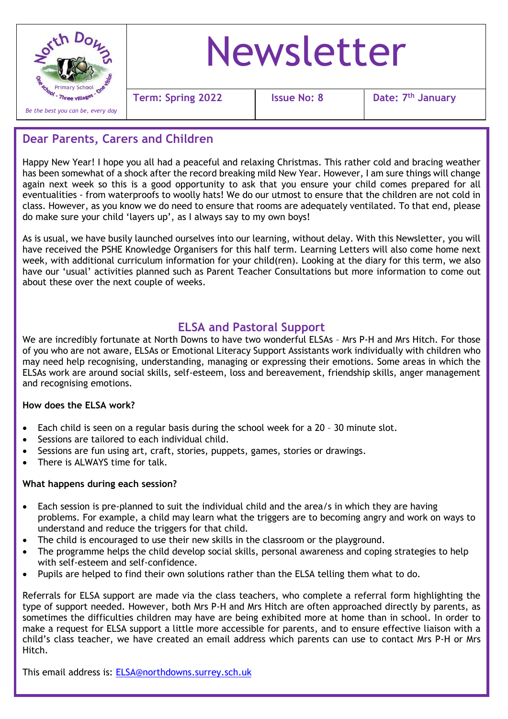

# Newsletter

**Term:** Spring 2022 | Issue No: 8

**th January**

# **Dear Parents, Carers and Children**

Happy New Year! I hope you all had a peaceful and relaxing Christmas. This rather cold and bracing weather has been somewhat of a shock after the record breaking mild New Year. However, I am sure things will change again next week so this is a good opportunity to ask that you ensure your child comes prepared for all eventualities - from waterproofs to woolly hats! We do our utmost to ensure that the children are not cold in class. However, as you know we do need to ensure that rooms are adequately ventilated. To that end, please do make sure your child 'layers up', as I always say to my own boys!

As is usual, we have busily launched ourselves into our learning, without delay. With this Newsletter, you will have received the PSHE Knowledge Organisers for this half term. Learning Letters will also come home next week, with additional curriculum information for your child(ren). Looking at the diary for this term, we also have our 'usual' activities planned such as Parent Teacher Consultations but more information to come out about these over the next couple of weeks.

## **ELSA and Pastoral Support**

We are incredibly fortunate at North Downs to have two wonderful ELSAs – Mrs P-H and Mrs Hitch. For those of you who are not aware, ELSAs or Emotional Literacy Support Assistants work individually with children who may need help recognising, understanding, managing or expressing their emotions. Some areas in which the ELSAs work are around social skills, self-esteem, loss and bereavement, friendship skills, anger management and recognising emotions.

#### **How does the ELSA work?**

- Each child is seen on a regular basis during the school week for a 20 30 minute slot.
- Sessions are tailored to each individual child.
- Sessions are fun using art, craft, stories, puppets, games, stories or drawings.
- There is ALWAYS time for talk.

#### **What happens during each session?**

- Each session is pre-planned to suit the individual child and the area/s in which they are having problems. For example, a child may learn what the triggers are to becoming angry and work on ways to understand and reduce the triggers for that child.
- The child is encouraged to use their new skills in the classroom or the playground.
- The programme helps the child develop social skills, personal awareness and coping strategies to help with self-esteem and self-confidence.
- Pupils are helped to find their own solutions rather than the ELSA telling them what to do.

Referrals for ELSA support are made via the class teachers, who complete a referral form highlighting the type of support needed. However, both Mrs P-H and Mrs Hitch are often approached directly by parents, as sometimes the difficulties children may have are being exhibited more at home than in school. In order to make a request for ELSA support a little more accessible for parents, and to ensure effective liaison with a child's class teacher, we have created an email address which parents can use to contact Mrs P-H or Mrs Hitch.

This email address is: [ELSA@northdowns.surrey.sch.uk](mailto:ELSA@northdowns.surrey.sch.uk)